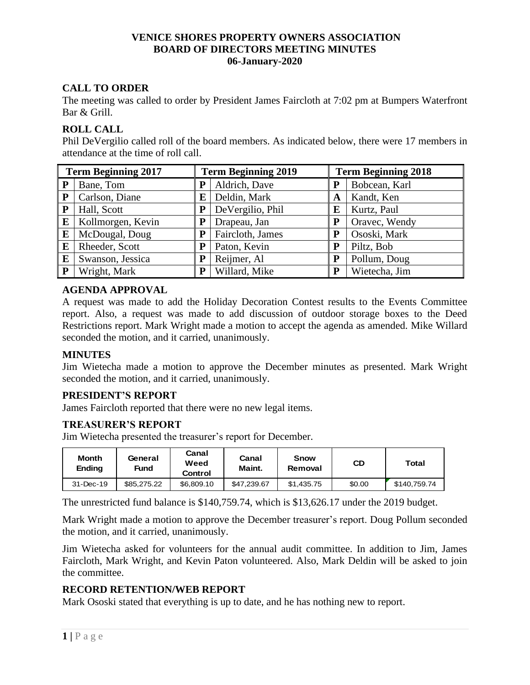## **VENICE SHORES PROPERTY OWNERS ASSOCIATION BOARD OF DIRECTORS MEETING MINUTES 06-January-2020**

# **CALL TO ORDER**

The meeting was called to order by President James Faircloth at 7:02 pm at Bumpers Waterfront Bar & Grill.

## **ROLL CALL**

Phil DeVergilio called roll of the board members. As indicated below, there were 17 members in attendance at the time of roll call.

| <b>Term Beginning 2017</b> |                   | <b>Term Beginning 2019</b> |                  | <b>Term Beginning 2018</b> |               |  |
|----------------------------|-------------------|----------------------------|------------------|----------------------------|---------------|--|
| P                          | Bane, Tom         | P                          | Aldrich, Dave    | P                          | Bobcean, Karl |  |
| ${\bf P}$                  | Carlson, Diane    | E                          | Deldin, Mark     | A                          | Kandt, Ken    |  |
| P                          | Hall, Scott       | P                          | DeVergilio, Phil | E                          | Kurtz, Paul   |  |
| E                          | Kollmorgen, Kevin | P                          | Drapeau, Jan     | P                          | Oravec, Wendy |  |
| E                          | McDougal, Doug    | P                          | Faircloth, James | P                          | Ososki, Mark  |  |
| E                          | Rheeder, Scott    | P                          | Paton, Kevin     | P                          | Piltz, Bob    |  |
| E                          | Swanson, Jessica  | P                          | Reijmer, Al      | P                          | Pollum, Doug  |  |
| ${\bf P}$                  | Wright, Mark      | P                          | Willard, Mike    | P                          | Wietecha, Jim |  |

## **AGENDA APPROVAL**

A request was made to add the Holiday Decoration Contest results to the Events Committee report. Also, a request was made to add discussion of outdoor storage boxes to the Deed Restrictions report. Mark Wright made a motion to accept the agenda as amended. Mike Willard seconded the motion, and it carried, unanimously.

## **MINUTES**

Jim Wietecha made a motion to approve the December minutes as presented. Mark Wright seconded the motion, and it carried, unanimously.

## **PRESIDENT'S REPORT**

James Faircloth reported that there were no new legal items.

## **TREASURER'S REPORT**

Jim Wietecha presented the treasurer's report for December.

| <b>Month</b><br><b>Ending</b> | General<br>Fund | Canal<br>Weed<br>Control | Canal<br>Maint. | <b>Snow</b><br>Removal | CD     | Total        |
|-------------------------------|-----------------|--------------------------|-----------------|------------------------|--------|--------------|
| 31-Dec-19                     | \$85,275,22     | \$6.809.10               | \$47,239.67     | \$1.435.75             | \$0.00 | \$140.759.74 |

The unrestricted fund balance is \$140,759.74, which is \$13,626.17 under the 2019 budget.

Mark Wright made a motion to approve the December treasurer's report. Doug Pollum seconded the motion, and it carried, unanimously.

Jim Wietecha asked for volunteers for the annual audit committee. In addition to Jim, James Faircloth, Mark Wright, and Kevin Paton volunteered. Also, Mark Deldin will be asked to join the committee.

# **RECORD RETENTION/WEB REPORT**

Mark Ososki stated that everything is up to date, and he has nothing new to report.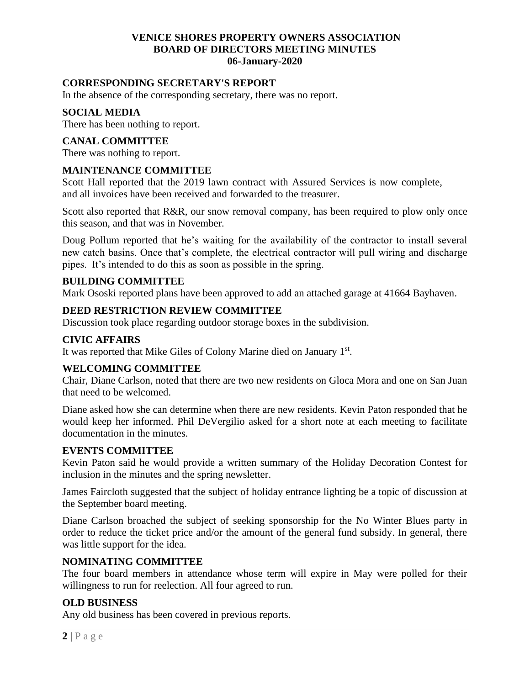## **VENICE SHORES PROPERTY OWNERS ASSOCIATION BOARD OF DIRECTORS MEETING MINUTES 06-January-2020**

### **CORRESPONDING SECRETARY'S REPORT**

In the absence of the corresponding secretary, there was no report.

#### **SOCIAL MEDIA**

There has been nothing to report.

## **CANAL COMMITTEE**

There was nothing to report.

#### **MAINTENANCE COMMITTEE**

Scott Hall reported that the 2019 lawn contract with Assured Services is now complete, and all invoices have been received and forwarded to the treasurer.

Scott also reported that R&R, our snow removal company, has been required to plow only once this season, and that was in November.

Doug Pollum reported that he's waiting for the availability of the contractor to install several new catch basins. Once that's complete, the electrical contractor will pull wiring and discharge pipes. It's intended to do this as soon as possible in the spring.

#### **BUILDING COMMITTEE**

Mark Ososki reported plans have been approved to add an attached garage at 41664 Bayhaven.

#### **DEED RESTRICTION REVIEW COMMITTEE**

Discussion took place regarding outdoor storage boxes in the subdivision.

## **CIVIC AFFAIRS**

It was reported that Mike Giles of Colony Marine died on January 1st.

#### **WELCOMING COMMITTEE**

Chair, Diane Carlson, noted that there are two new residents on Gloca Mora and one on San Juan that need to be welcomed.

Diane asked how she can determine when there are new residents. Kevin Paton responded that he would keep her informed. Phil DeVergilio asked for a short note at each meeting to facilitate documentation in the minutes.

#### **EVENTS COMMITTEE**

Kevin Paton said he would provide a written summary of the Holiday Decoration Contest for inclusion in the minutes and the spring newsletter.

James Faircloth suggested that the subject of holiday entrance lighting be a topic of discussion at the September board meeting.

Diane Carlson broached the subject of seeking sponsorship for the No Winter Blues party in order to reduce the ticket price and/or the amount of the general fund subsidy. In general, there was little support for the idea.

#### **NOMINATING COMMITTEE**

The four board members in attendance whose term will expire in May were polled for their willingness to run for reelection. All four agreed to run.

# **OLD BUSINESS**

Any old business has been covered in previous reports.